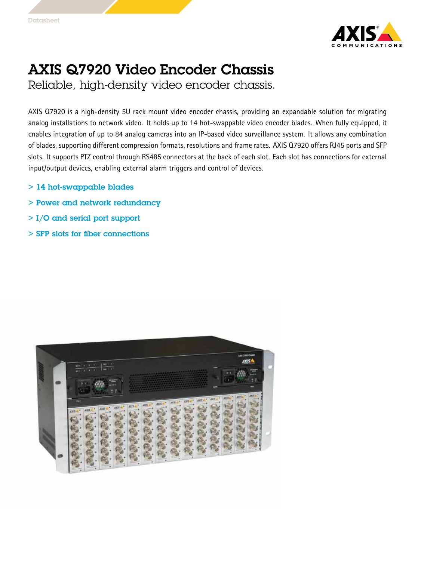

## AXIS Q7920 Video Encoder Chassis

Reliable, high-density video encoder chassis.

AXIS Q7920 is <sup>a</sup> high-density 5U rack mount video encoder chassis, providing an expandable solution for migrating analog installations to network video. It holds up to <sup>14</sup> hot-swappable video encoder blades. When fully equipped, it enables integration of up to 84 analog cameras into an IP-based video surveillance system. It allows any combination of blades, supporting different compression formats, resolutions and frame rates. AXIS Q7920 offers RJ45 ports and SFP slots. It supports PTZ control through RS485 connectors at the back of each slot. Each slot has connections for external input/output devices, enabling external alarm triggers and control of devices.

- > 14 hot-swappable blades
- > Power and network redundancy
- > I/O and serial port support
- > SFP slots for fiber connections